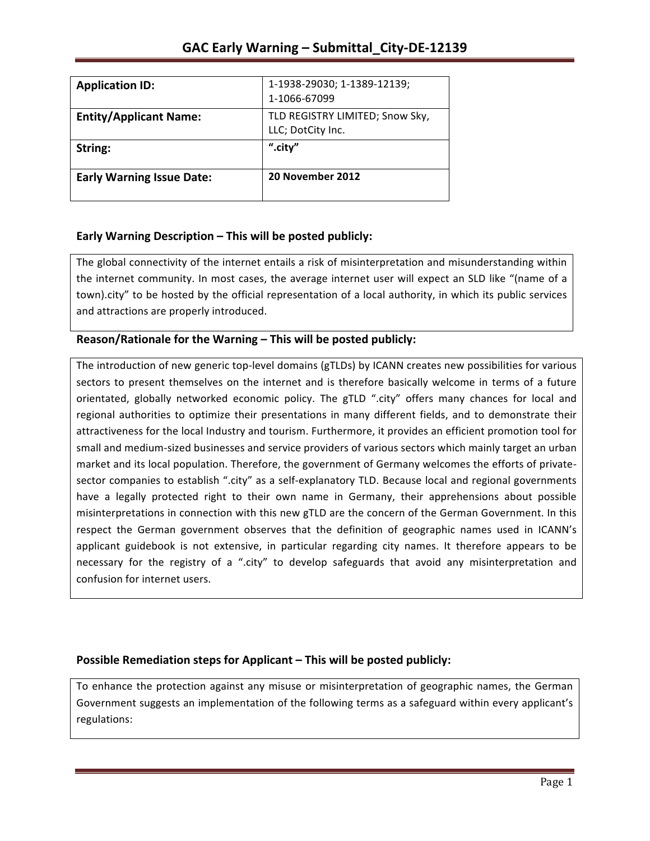| <b>Application ID:</b>           | 1-1938-29030; 1-1389-12139;<br>1-1066-67099          |
|----------------------------------|------------------------------------------------------|
| <b>Entity/Applicant Name:</b>    | TLD REGISTRY LIMITED; Snow Sky,<br>LLC; DotCity Inc. |
| String:                          | ".city"                                              |
| <b>Early Warning Issue Date:</b> | 20 November 2012                                     |

## **Early Warning Description – This will be posted publicly:**

The global connectivity of the internet entails a risk of misinterpretation and misunderstanding within the internet community. In most cases, the average internet user will expect an SLD like "(name of a town).city" to be hosted by the official representation of a local authority, in which its public services and attractions are properly introduced.

## **Reason/Rationale for the Warning – This will be posted publicly:**

The introduction of new generic top-level domains (gTLDs) by ICANN creates new possibilities for various sectors to present themselves on the internet and is therefore basically welcome in terms of a future orientated, globally networked economic policy. The gTLD ".city" offers many chances for local and regional authorities to optimize their presentations in many different fields, and to demonstrate their attractiveness for the local Industry and tourism. Furthermore, it provides an efficient promotion tool for small and medium-sized businesses and service providers of various sectors which mainly target an urban market and its local population. Therefore, the government of Germany welcomes the efforts of privatesector companies to establish ".city" as a self-explanatory TLD. Because local and regional governments have a legally protected right to their own name in Germany, their apprehensions about possible misinterpretations in connection with this new gTLD are the concern of the German Government. In this respect the German government observes that the definition of geographic names used in ICANN's applicant guidebook is not extensive, in particular regarding city names. It therefore appears to be necessary for the registry of a ".city" to develop safeguards that avoid any misinterpretation and confusion for internet users.

### **Possible Remediation steps for Applicant – This will be posted publicly:**

To enhance the protection against any misuse or misinterpretation of geographic names, the German Government suggests an implementation of the following terms as a safeguard within every applicant's regulations: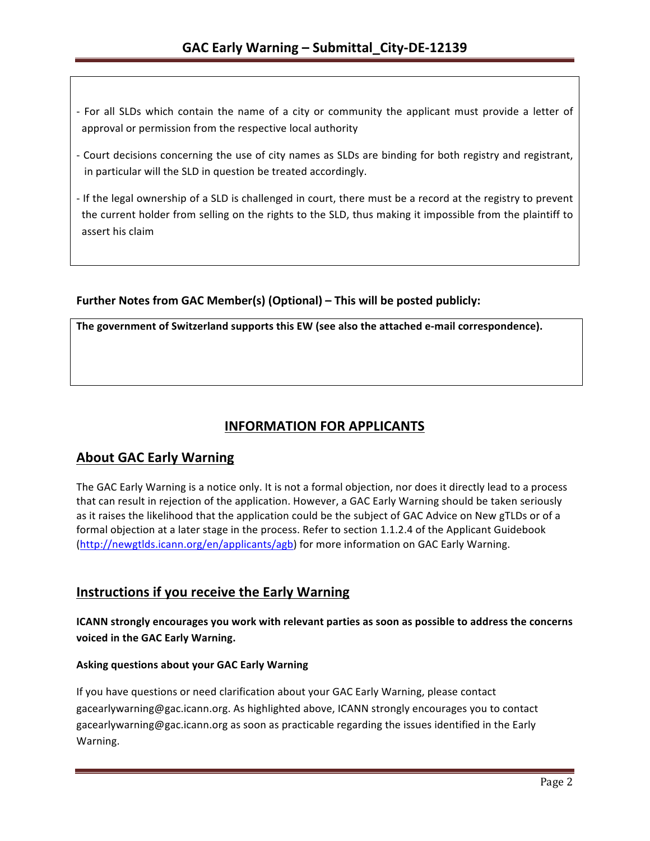- For all SLDs which contain the name of a city or community the applicant must provide a letter of approval or permission from the respective local authority
- Court decisions concerning the use of city names as SLDs are binding for both registry and registrant, in particular will the SLD in question be treated accordingly.
- If the legal ownership of a SLD is challenged in court, there must be a record at the registry to prevent the current holder from selling on the rights to the SLD, thus making it impossible from the plaintiff to assert his claim

## Further Notes from GAC Member(s) (Optional) – This will be posted publicly:

The government of Switzerland supports this EW (see also the attached e-mail correspondence).

# **INFORMATION FOR APPLICANTS**

## **About GAC Early Warning**

The GAC Early Warning is a notice only. It is not a formal objection, nor does it directly lead to a process that can result in rejection of the application. However, a GAC Early Warning should be taken seriously as it raises the likelihood that the application could be the subject of GAC Advice on New gTLDs or of a formal objection at a later stage in the process. Refer to section 1.1.2.4 of the Applicant Guidebook (http://newgtlds.icann.org/en/applicants/agb) for more information on GAC Early Warning.

## **Instructions if you receive the Early Warning**

**ICANN** strongly encourages you work with relevant parties as soon as possible to address the concerns voiced in the GAC Early Warning.

### **Asking questions about your GAC Early Warning**

If you have questions or need clarification about your GAC Early Warning, please contact gacearlywarning@gac.icann.org. As highlighted above, ICANN strongly encourages you to contact gacearlywarning@gac.icann.org as soon as practicable regarding the issues identified in the Early Warning.